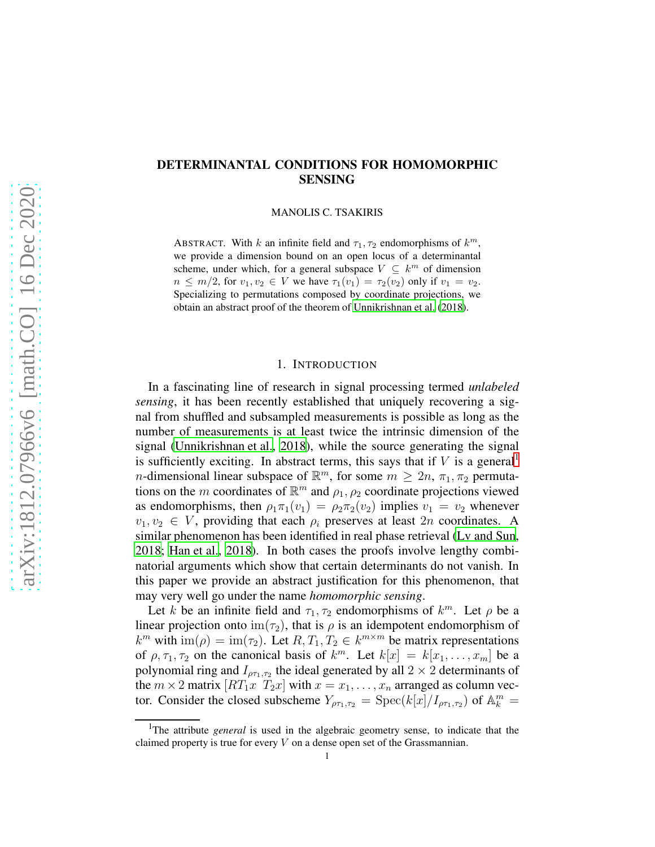## DETERMINANTAL CONDITIONS FOR HOMOMORPHIC SENSING

MANOLIS C. TSAKIRIS

ABSTRACT. With k an infinite field and  $\tau_1, \tau_2$  endomorphisms of  $k^m$ , we provide a dimension bound on an open locus of a determinantal scheme, under which, for a general subspace  $V \subseteq k^m$  of dimension  $n \leq m/2$ , for  $v_1, v_2 \in V$  we have  $\tau_1(v_1) = \tau_2(v_2)$  only if  $v_1 = v_2$ . Specializing to permutations composed by coordinate projections, we obtain an abstract proof of the theorem of [Unnikrishnan et al.](#page-14-0) [\(2018\)](#page-14-0).

### 1. INTRODUCTION

In a fascinating line of research in signal processing termed *unlabeled sensing*, it has been recently established that uniquely recovering a signal from shuffled and subsampled measurements is possible as long as the number of measurements is at least twice the intrinsic dimension of the signal [\(Unnikrishnan et al., 2018](#page-14-0)), while the source generating the signal is sufficiently exciting. In abstract terms, this says that if  $V$  is a general<sup>[1](#page-0-0)</sup> *n*-dimensional linear subspace of  $\mathbb{R}^m$ , for some  $m \geq 2n$ ,  $\pi_1, \pi_2$  permutations on the m coordinates of  $\mathbb{R}^m$  and  $\rho_1, \rho_2$  coordinate projections viewed as endomorphisms, then  $\rho_1 \pi_1(v_1) = \rho_2 \pi_2(v_2)$  implies  $v_1 = v_2$  whenever  $v_1, v_2 \in V$ , providing that each  $\rho_i$  preserves at least  $2n$  coordinates. A similar phenomenon has been identified in real phase retrieval [\(Lv and Sun](#page-13-0), [2018;](#page-13-0) [Han et al.](#page-13-1), [2018](#page-13-1)). In both cases the proofs involve lengthy combinatorial arguments which show that certain determinants do not vanish. In this paper we provide an abstract justification for this phenomenon, that may very well go under the name *homomorphic sensing*.

Let k be an infinite field and  $\tau_1, \tau_2$  endomorphisms of  $k^m$ . Let  $\rho$  be a linear projection onto im( $\tau_2$ ), that is  $\rho$  is an idempotent endomorphism of  $k^m$  with  $\text{im}(\rho) = \text{im}(\tau_2)$ . Let  $R, T_1, T_2 \in k^{m \times m}$  be matrix representations of  $\rho, \tau_1, \tau_2$  on the canonical basis of  $k^m$ . Let  $k[x] = k[x_1, \ldots, x_m]$  be a polynomial ring and  $I_{\rho\tau_1,\tau_2}$  the ideal generated by all  $2\times 2$  determinants of the  $m \times 2$  matrix  $[RT_1x \ T_2x]$  with  $x = x_1, \ldots, x_n$  arranged as column vector. Consider the closed subscheme  $Y_{\rho\tau_1,\tau_2} = \text{Spec}(k[x]/I_{\rho\tau_1,\tau_2})$  of  $\mathbb{A}_k^m =$ 

<span id="page-0-0"></span><sup>&</sup>lt;sup>1</sup>The attribute *general* is used in the algebraic geometry sense, to indicate that the claimed property is true for every  $V$  on a dense open set of the Grassmannian.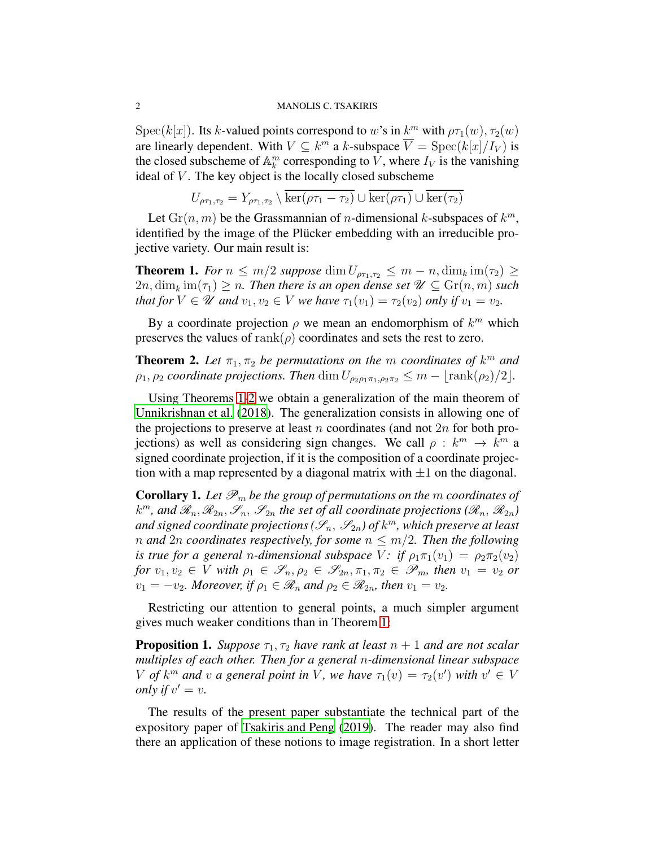Spec(k[x]). Its k-valued points correspond to w's in  $k^m$  with  $\rho \tau_1(w)$ ,  $\tau_2(w)$ are linearly dependent. With  $V \subseteq k^m$  a k-subspace  $\overline{V} = \text{Spec}(k[x]/I_V)$  is the closed subscheme of  $\mathbb{A}_k^m$  corresponding to  $\hat{V}$ , where  $I_V$  is the vanishing ideal of  $V$ . The key object is the locally closed subscheme

$$
U_{\rho\tau_1,\tau_2} = Y_{\rho\tau_1,\tau_2} \setminus \overline{\ker(\rho\tau_1 - \tau_2)} \cup \overline{\ker(\rho\tau_1)} \cup \overline{\ker(\tau_2)}
$$

Let  $\mathrm{Gr}(n,m)$  be the Grassmannian of *n*-dimensional *k*-subspaces of  $k^m$ , identified by the image of the Plücker embedding with an irreducible projective variety. Our main result is:

<span id="page-1-0"></span>**Theorem 1.** *For*  $n \leq m/2$  *suppose* dim  $U_{\rho\tau_1,\tau_2} \leq m-n$ , dim<sub>k</sub> im $(\tau_2) \geq$  $2n, \dim_k \text{im}(\tau_1) \geq n$ . Then there is an open dense set  $\mathscr{U} \subseteq \text{Gr}(n, m)$  such *that for*  $V \in \mathcal{U}$  *and*  $v_1, v_2 \in V$  *we have*  $\tau_1(v_1) = \tau_2(v_2)$  *only if*  $v_1 = v_2$ *.* 

By a coordinate projection  $\rho$  we mean an endomorphism of  $k^m$  which preserves the values of rank( $\rho$ ) coordinates and sets the rest to zero.

<span id="page-1-1"></span>**Theorem 2.** Let  $\pi_1, \pi_2$  be permutations on the m coordinates of  $k^m$  and  $\rho_1, \rho_2$  *coordinate projections. Then* dim  $U_{\rho_2\rho_1\pi_1,\rho_2\pi_2} \leq m - |\text{rank}(\rho_2)/2|$ *.* 

Using Theorems [1](#page-1-0)[-2](#page-1-1) we obtain a generalization of the main theorem of [Unnikrishnan et al. \(2018](#page-14-0)). The generalization consists in allowing one of the projections to preserve at least n coordinates (and not  $2n$  for both projections) as well as considering sign changes. We call  $\rho : k^m \to k^m$  a signed coordinate projection, if it is the composition of a coordinate projection with a map represented by a diagonal matrix with  $\pm 1$  on the diagonal.

<span id="page-1-2"></span>**Corollary 1.** Let  $\mathcal{P}_m$  be the group of permutations on the m coordinates of  $k^m$ , and  $\mathscr{R}_n, \mathscr{R}_{2n}, \mathscr{S}_n, \mathscr{S}_{2n}$  the set of all coordinate projections  $(\mathscr{R}_n, \mathscr{R}_{2n})$ and signed coordinate projections ( $\mathscr{S}_n,$   $\mathscr{S}_{2n}$ ) of  $k^m$ , which preserve at least *n* and 2n coordinates respectively, for some  $n \leq m/2$ . Then the following *is true for a general n-dimensional subspace*  $V$ *: if*  $\rho_1 \pi_1(v_1) = \rho_2 \pi_2(v_2)$ *for*  $v_1, v_2 \in V$  *with*  $\rho_1 \in \mathscr{S}_n, \rho_2 \in \mathscr{S}_{2n}, \pi_1, \pi_2 \in \mathscr{P}_m$ , then  $v_1 = v_2$  or  $v_1 = -v_2$ *. Moreover, if*  $\rho_1 \in \mathcal{R}_n$  *and*  $\rho_2 \in \mathcal{R}_{2n}$ *, then*  $v_1 = v_2$ *.* 

Restricting our attention to general points, a much simpler argument gives much weaker conditions than in Theorem [1:](#page-1-0)

<span id="page-1-3"></span>**Proposition 1.** *Suppose*  $\tau_1, \tau_2$  *have rank at least*  $n + 1$  *and are not scalar multiples of each other. Then for a general* n*-dimensional linear subspace* V of  $k^m$  and v a general point in V, we have  $\tau_1(v) = \tau_2(v')$  with  $v' \in V$ *only if*  $v' = v$ .

The results of the present paper substantiate the technical part of the expository paper of [Tsakiris and Peng \(2019](#page-14-1)). The reader may also find there an application of these notions to image registration. In a short letter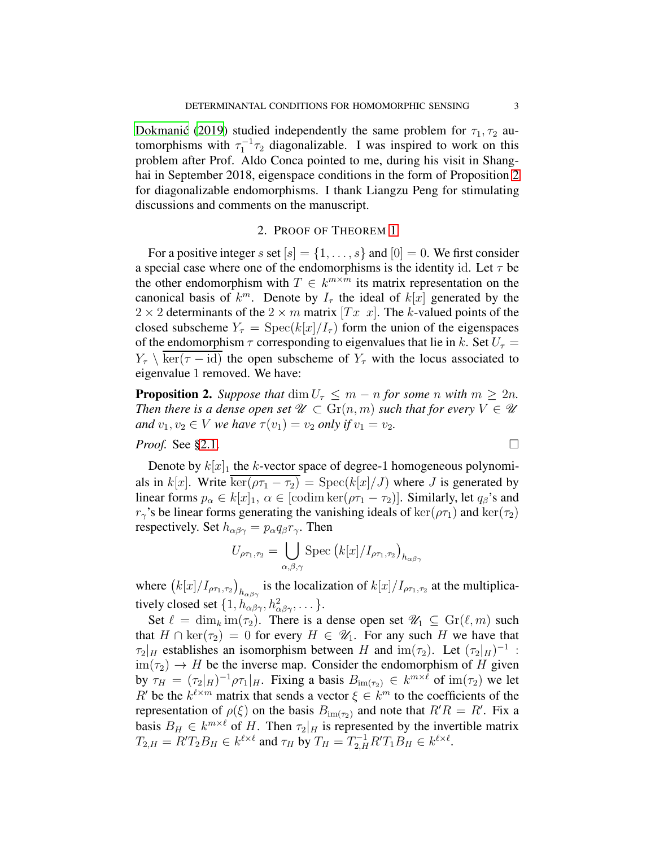Dokmanić (2019) studied independently the same problem for  $\tau_1, \tau_2$  automorphisms with  $\tau_1^{-1}\tau_2$  diagonalizable. I was inspired to work on this problem after Prof. Aldo Conca pointed to me, during his visit in Shanghai in September 2018, eigenspace conditions in the form of Proposition [2](#page-2-0) for diagonalizable endomorphisms. I thank Liangzu Peng for stimulating discussions and comments on the manuscript.

#### 2. PROOF OF THEOREM [1](#page-1-0)

For a positive integer s set  $[s] = \{1, \ldots, s\}$  and  $[0] = 0$ . We first consider a special case where one of the endomorphisms is the identity id. Let  $\tau$  be the other endomorphism with  $T \in k^{m \times m}$  its matrix representation on the canonical basis of  $k^m$ . Denote by  $I_{\tau}$  the ideal of  $k[x]$  generated by the  $2 \times 2$  determinants of the  $2 \times m$  matrix  $[Tx \ x]$ . The k-valued points of the closed subscheme  $Y_\tau = \text{Spec}(k[x]/I_\tau)$  form the union of the eigenspaces of the endomorphism  $\tau$  corresponding to eigenvalues that lie in k. Set  $U_{\tau} =$  $Y_{\tau} \setminus \text{ker}(\tau - \text{id})$  the open subscheme of  $Y_{\tau}$  with the locus associated to eigenvalue 1 removed. We have:

<span id="page-2-0"></span>**Proposition 2.** Suppose that  $\dim U_\tau \leq m - n$  for some n with  $m \geq 2n$ . *Then there is a dense open set*  $\mathscr{U} \subset \mathrm{Gr}(n,m)$  *such that for every*  $V \in \mathscr{U}$ *and*  $v_1, v_2 \in V$  *we have*  $\tau(v_1) = v_2$  *only if*  $v_1 = v_2$ *.* 

*Proof.* See [§2.1.](#page-5-0)

Denote by  $k[x]_1$  the k-vector space of degree-1 homogeneous polynomials in k[x]. Write  $\overline{\ker(\rho \tau_1 - \tau_2)} = \text{Spec}(k[x]/J)$  where J is generated by linear forms  $p_{\alpha} \in k[x]_1$ ,  $\alpha \in [\text{codim ker}(\rho \tau_1 - \tau_2)]$ . Similarly, let  $q_{\beta}$ 's and  $r_{\gamma}$ 's be linear forms generating the vanishing ideals of ker( $\rho\tau_1$ ) and ker( $\tau_2$ ) respectively. Set  $h_{\alpha\beta\gamma} = p_{\alpha}q_{\beta}r_{\gamma}$ . Then

$$
U_{\rho\tau_1,\tau_2} = \bigcup_{\alpha,\beta,\gamma} \text{Spec} \left( k[x]/I_{\rho\tau_1,\tau_2} \right)_{h_{\alpha\beta\gamma}}
$$

where  $(k[x]/I_{\rho\tau_1,\tau_2})_{h_{\alpha\beta\gamma}}$  is the localization of  $k[x]/I_{\rho\tau_1,\tau_2}$  at the multiplicatively closed set  $\{1, h_{\alpha\beta\gamma}, h_{\alpha\beta\gamma}^2, \dots\}.$ 

Set  $\ell = \dim_k \text{im}(\tau_2)$ . There is a dense open set  $\mathscr{U}_1 \subseteq \text{Gr}(\ell,m)$  such that  $H \cap \text{ker}(\tau_2) = 0$  for every  $H \in \mathscr{U}_1$ . For any such H we have that  $\tau_2|_H$  establishes an isomorphism between H and  $\text{im}(\tau_2)$ . Let  $(\tau_2|_H)^{-1}$ :  $\lim_{t \to \infty}$   $\rightarrow$  H be the inverse map. Consider the endomorphism of H given by  $\tau_H = (\tau_2|_H)^{-1} \rho \tau_1|_H$ . Fixing a basis  $B_{\text{im}(\tau_2)} \in k^{m \times \ell}$  of  $\text{im}(\tau_2)$  we let R' be the  $k^{l \times m}$  matrix that sends a vector  $\xi \in k^m$  to the coefficients of the representation of  $\rho(\xi)$  on the basis  $B_{\text{im}(\tau_2)}$  and note that  $R'R = R'$ . Fix a basis  $B_H \in k^{m \times \ell}$  of H. Then  $\tau_2|_H$  is represented by the invertible matrix  $T_{2,H} = R'T_2B_H \in k^{\ell \times \ell}$  and  $\tau_H$  by  $T_H = T_{2,H}^{-1}R'T_1B_H \in k^{\ell \times \ell}$ .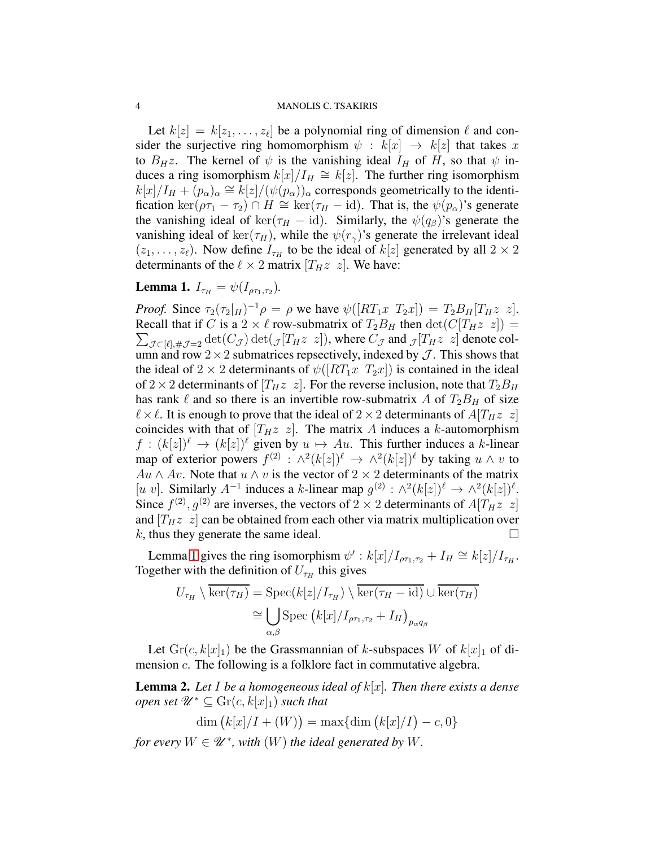Let  $k[z] = k[z_1, \ldots, z_\ell]$  be a polynomial ring of dimension  $\ell$  and consider the surjective ring homomorphism  $\psi : k[x] \rightarrow k[z]$  that takes x to  $B_Hz$ . The kernel of  $\psi$  is the vanishing ideal  $I_H$  of H, so that  $\psi$  induces a ring isomorphism  $k[x]/I_H \cong k[z]$ . The further ring isomorphism  $k[x]/I_H + (p_\alpha)_\alpha \cong k[z]/(\psi(p_\alpha))_\alpha$  corresponds geometrically to the identification ker( $\rho \tau_1 - \tau_2$ )  $\cap$  H  $\cong$  ker( $\tau_H$  – id). That is, the  $\psi(p_\alpha)$ 's generate the vanishing ideal of ker( $\tau_H$  – id). Similarly, the  $\psi(q_\beta)$ 's generate the vanishing ideal of ker( $\tau_H$ ), while the  $\psi(r_\gamma)$ 's generate the irrelevant ideal  $(z_1, \ldots, z_\ell)$ . Now define  $I_{\tau_H}$  to be the ideal of  $k[z]$  generated by all  $2 \times 2$ determinants of the  $\ell \times 2$  matrix  $[T_H z \ z]$ . We have:

# <span id="page-3-0"></span>**Lemma 1.**  $I_{\tau_H} = \psi(I_{\rho \tau_1, \tau_2})$ .

*Proof.* Since  $\tau_2(\tau_2|_H)^{-1}\rho = \rho$  we have  $\psi([RT_1 x \ T_2 x]) = T_2 B_H[T_H z \ z]$ . Recall that if C is a 2  $\times$   $\ell$  row-submatrix of  $T_2B_H$  then  $\det(C[T_Hz\ z])=$  $\sum_{\mathcal{J}\subset [\ell],\#\mathcal{J}=2}\det(C_\mathcal{J})\det(\mathcal{J}[T_Hz\ z])$ , where  $C_\mathcal{J}$  and  $\mathcal{J}[T_Hz\ z]$  denote column and row  $2 \times 2$  submatrices repsectively, indexed by  $\mathcal{J}$ . This shows that the ideal of 2  $\times$  2 determinants of  $\psi([RT_1 x \ T_2 x])$  is contained in the ideal of 2  $\times$  2 determinants of  $[T_H z \ z]$ . For the reverse inclusion, note that  $T_2 B_H$ has rank  $\ell$  and so there is an invertible row-submatrix A of  $T_2B_H$  of size  $\ell \times \ell$ . It is enough to prove that the ideal of  $2 \times 2$  determinants of  $A[T_H z \ z]$ coincides with that of  $[T_Hz\ z]$ . The matrix A induces a k-automorphism  $f : (k[z])^{\ell} \to (k[z])^{\ell}$  given by  $u \mapsto Au$ . This further induces a k-linear map of exterior powers  $f^{(2)}$ :  $\wedge^2 (k[z])^{\ell} \rightarrow \wedge^2 (k[z])^{\ell}$  by taking  $u \wedge v$  to  $Au \wedge Av$ . Note that  $u \wedge v$  is the vector of  $2 \times 2$  determinants of the matrix [u v]. Similarly  $A^{-1}$  induces a k-linear map  $g^{(2)}$  :  $\wedge^2 (k[z])^{\ell} \rightarrow \wedge^2 (k[z])^{\ell}$ . Since  $f^{(2)}, g^{(2)}$  are inverses, the vectors of  $2 \times 2$  determinants of  $A[T_H z \; z]$ and  $[T_Hz\ z]$  can be obtained from each other via matrix multiplication over k, thus they generate the same ideal.

Lemma [1](#page-3-0) gives the ring isomorphism  $\psi' : k[x]/I_{\rho\tau_1,\tau_2} + I_H \cong k[z]/I_{\tau_H}$ . Together with the definition of  $U_{\tau_H}$  this gives

$$
U_{\tau_H} \setminus \overline{\ker(\tau_H)} = \operatorname{Spec}(k[z]/I_{\tau_H}) \setminus \overline{\ker(\tau_H - \mathrm{id})} \cup \overline{\ker(\tau_H)}
$$

$$
\cong \bigcup_{\alpha,\beta} \operatorname{Spec}(k[x]/I_{\rho\tau_1,\tau_2} + I_H)_{p_\alpha q_\beta}
$$

Let  $\text{Gr}(c, k[x]_1)$  be the Grassmannian of k-subspaces W of  $k[x]_1$  of dimension c. The following is a folklore fact in commutative algebra.

<span id="page-3-1"></span>Lemma 2. *Let* I *be a homogeneous ideal of* k[x]*. Then there exists a dense open set*  $\mathscr{U}^* \subseteq$   $\mathrm{Gr}(c, k[x]_1)$  *such that* 

$$
\dim (k[x]/I + (W)) = \max \{ \dim (k[x]/I) - c, 0 \}
$$

*for every*  $W \in \mathscr{U}^*$ , with  $(W)$  the ideal generated by  $W$ .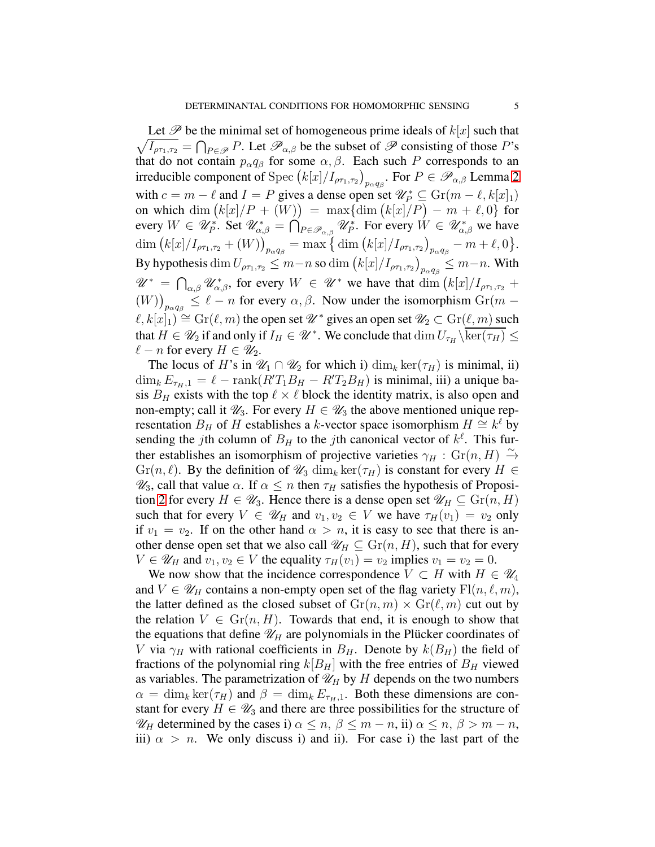$\sqrt{I_{\rho\tau_1,\tau_2}} = \bigcap_{P \in \mathscr{P}} P$ . Let  $\mathscr{P}_{\alpha,\beta}$  be the subset of  $\mathscr{P}$  consisting of those P's Let  $\mathscr P$  be the minimal set of homogeneous prime ideals of  $k[x]$  such that that do not contain  $p_{\alpha}q_{\beta}$  for some  $\alpha, \beta$ . Each such P corresponds to an irreducible component of Spec  $(k[x]/I_{\rho\tau_1,\tau_2})_{p_{\alpha}q_{\beta}}$ . For  $P \in \mathscr{P}_{\alpha,\beta}$  Lemma [2](#page-3-1) with  $c = m - \ell$  and  $I = P$  gives a dense open set  $\mathscr{U}_P^* \subseteq \text{Gr}(m - \ell, k[x]_1)$ on which  $\dim (k[x]/P + (W)) = \max \{ \dim (k[x]/P) - m + \ell, 0 \}$  for every  $W \in \mathscr{U}_{P}^*$ . Set  $\mathscr{U}_{\alpha,\beta}^* = \bigcap_{P \in \mathscr{P}_{\alpha,\beta}} \mathscr{U}_{P}^*$ . For every  $W \in \mathscr{U}_{\alpha,\beta}^*$  we have  $\dim \big(k[x]/I_{\rho\tau_1,\tau_2}+(W)\big)_{p_\alpha q_\beta}=\max\big\{\dim \big(k[x]/I_{\rho\tau_1,\tau_2}\big)_{p_\alpha q_\beta}-m+\ell,0\big\}.$ By hypothesis  $\dim U_{\rho\tau_1,\tau_2}\leq m-n$  so  $\dim \big(k[x]/I_{\rho\tau_1,\tau_2}\big)_{p_\alpha q_\beta}\leq m-n.$  With  $\mathscr{U}^* = \bigcap_{\alpha,\beta} \mathscr{U}_{\alpha,\beta}^*$ , for every  $W \in \mathscr{U}^*$  we have that  $\dim (k[x]/I_{\rho\tau_1,\tau_2} + I_{\rho\tau_1}$  $(W)$ )<sub> $p_{\alpha q_{\beta}} \leq \ell - n$  for every  $\alpha, \beta$ . Now under the isomorphism  $Gr(m - n)$ </sub>  $\ell, k[x]_1$   $\cong$   $\text{Gr}(\ell, m)$  the open set  $\mathscr{U}^*$  gives an open set  $\mathscr{U}_2 \subset \text{Gr}(\ell, m)$  such that  $H \in \mathscr{U}_2$  if and only if  $I_H \in \mathscr{U}^*$ . We conclude that  $\dim U_{\tau_H} \backslash \overline{\ker(\tau_H)} \leq 1$  $\ell - n$  for every  $H \in \mathscr{U}_2$ .

The locus of H's in  $\mathcal{U}_1 \cap \mathcal{U}_2$  for which i)  $\dim_k \ker(\tau_H)$  is minimal, ii)  $\dim_k E_{\tau_H,1} = \ell - \operatorname{rank}(R'T_1B_H - R'T_2B_H)$  is minimal, iii) a unique basis  $B_H$  exists with the top  $\ell \times \ell$  block the identity matrix, is also open and non-empty; call it  $\mathcal{U}_3$ . For every  $H \in \mathcal{U}_3$  the above mentioned unique representation  $B_H$  of H establishes a k-vector space isomorphism  $H \cong k^{\ell}$  by sending the jth column of  $B_H$  to the jth canonical vector of  $k^{\ell}$ . This further establishes an isomorphism of projective varieties  $\gamma_H$ :  $\text{Gr}(n, H) \xrightarrow{\sim}$  $\operatorname{Gr}(n, \ell)$ . By the definition of  $\mathcal{U}_3$  dim<sub>k</sub> ker( $\tau_H$ ) is constant for every  $H \in$  $\mathscr{U}_3$ , call that value  $\alpha$ . If  $\alpha \leq n$  then  $\tau_H$  satisfies the hypothesis of Proposi-tion [2](#page-2-0) for every  $H \in \mathscr{U}_3$ . Hence there is a dense open set  $\mathscr{U}_H \subseteq \mathrm{Gr}(n, H)$ such that for every  $V \in \mathscr{U}_H$  and  $v_1, v_2 \in V$  we have  $\tau_H(v_1) = v_2$  only if  $v_1 = v_2$ . If on the other hand  $\alpha > n$ , it is easy to see that there is another dense open set that we also call  $\mathscr{U}_H \subseteq \text{Gr}(n, H)$ , such that for every  $V \in \mathscr{U}_H$  and  $v_1, v_2 \in V$  the equality  $\tau_H(v_1) = v_2$  implies  $v_1 = v_2 = 0$ .

We now show that the incidence correspondence  $V \subset H$  with  $H \in \mathscr{U}_4$ and  $V \in \mathscr{U}_H$  contains a non-empty open set of the flag variety  $Fl(n, \ell, m)$ , the latter defined as the closed subset of  $\mathrm{Gr}(n,m) \times \mathrm{Gr}(\ell,m)$  cut out by the relation  $V \in \mathrm{Gr}(n, H)$ . Towards that end, it is enough to show that the equations that define  $\mathcal{U}_H$  are polynomials in the Plücker coordinates of V via  $\gamma_H$  with rational coefficients in  $B_H$ . Denote by  $k(B_H)$  the field of fractions of the polynomial ring  $k[B_H]$  with the free entries of  $B_H$  viewed as variables. The parametrization of  $\mathcal{U}_H$  by H depends on the two numbers  $\alpha = \dim_k \ker(\tau_H)$  and  $\beta = \dim_k E_{\tau_H,1}$ . Both these dimensions are constant for every  $H \in \mathcal{U}_3$  and there are three possibilities for the structure of  $\mathscr{U}_H$  determined by the cases i)  $\alpha \leq n, \beta \leq m-n$ , ii)  $\alpha \leq n, \beta > m-n$ , iii)  $\alpha > n$ . We only discuss i) and ii). For case i) the last part of the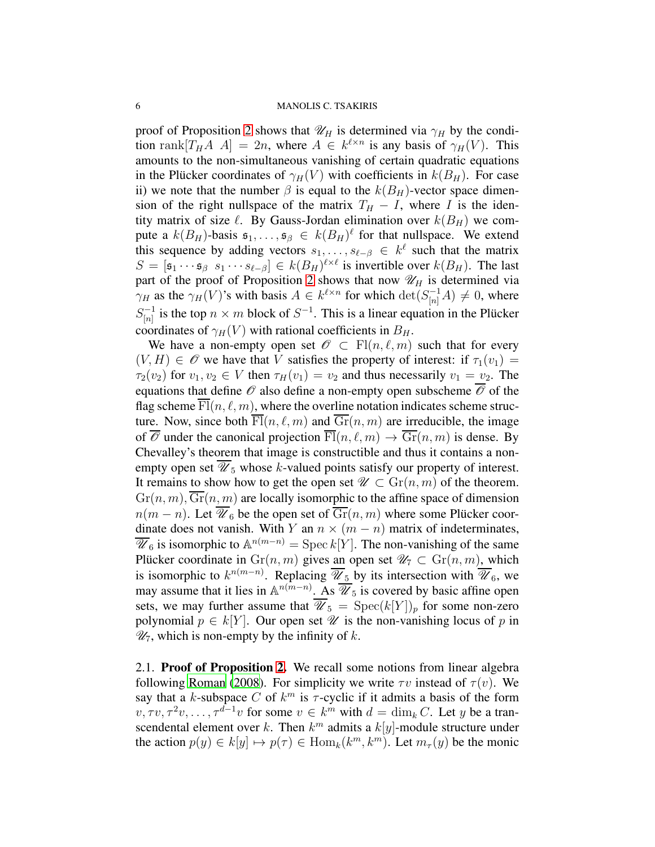proof of Proposition [2](#page-2-0) shows that  $\mathcal{U}_H$  is determined via  $\gamma_H$  by the condition rank $[T_H A \mid A] = 2n$ , where  $A \in k^{\ell \times n}$  is any basis of  $\gamma_H(V)$ . This amounts to the non-simultaneous vanishing of certain quadratic equations in the Plücker coordinates of  $\gamma_H(V)$  with coefficients in  $k(B_H)$ . For case ii) we note that the number  $\beta$  is equal to the  $k(B_H)$ -vector space dimension of the right nullspace of the matrix  $T_H - I$ , where I is the identity matrix of size  $\ell$ . By Gauss-Jordan elimination over  $k(B_H)$  we compute a  $k(B_H)$ -basis  $\mathfrak{s}_1, \ldots, \mathfrak{s}_{\beta} \in k(B_H)^{\ell}$  for that nullspace. We extend this sequence by adding vectors  $s_1, \ldots, s_{\ell-\beta} \in k^{\ell}$  such that the matrix  $S = [\mathfrak{s}_1 \cdots \mathfrak{s}_{\beta} \; s_1 \cdots s_{\ell-\beta}] \in k(B_H)^{\ell \times \ell}$  is invertible over  $k(B_H)$ . The last part of the proof of Proposition [2](#page-2-0) shows that now  $\mathcal{U}_H$  is determined via  $\gamma_H$  as the  $\gamma_H(V)$ 's with basis  $A \in k^{\ell \times n}$  for which  $\det(S_{[n]}^{-1}A) \neq 0$ , where  $S^{-1}_{[n]}$  $\binom{-1}{[n]}$  is the top  $n \times m$  block of  $S^{-1}$ . This is a linear equation in the Plücker coordinates of  $\gamma_H(V)$  with rational coefficients in  $B_H$ .

We have a non-empty open set  $\mathscr{O} \subset Fl(n,\ell,m)$  such that for every  $(V, H) \in \mathcal{O}$  we have that V satisfies the property of interest: if  $\tau_1(v_1) =$  $\tau_2(v_2)$  for  $v_1, v_2 \in V$  then  $\tau_H(v_1) = v_2$  and thus necessarily  $v_1 = v_2$ . The equations that define  $\mathcal O$  also define a non-empty open subscheme  $\overline{\mathcal O}$  of the flag scheme  $\overline{\mathrm{Fl}}(n,\ell,m)$ , where the overline notation indicates scheme structure. Now, since both  $Fl(n, \ell, m)$  and  $Gr(n, m)$  are irreducible, the image of  $\overline{\mathscr{O}}$  under the canonical projection  $\overline{\mathrm{Fl}}(n, \ell, m) \to \overline{\mathrm{Gr}}(n, m)$  is dense. By Chevalley's theorem that image is constructible and thus it contains a nonempty open set  $\overline{\mathscr{U}}_5$  whose k-valued points satisfy our property of interest. It remains to show how to get the open set  $\mathscr{U} \subset \mathrm{Gr}(n,m)$  of the theorem.  $Gr(n, m)$ ,  $\overline{Gr}(n, m)$  are locally isomorphic to the affine space of dimension  $n(m - n)$ . Let  $\overline{\mathscr{U}}_6$  be the open set of  $\overline{\text{Gr}}(n, m)$  where some Plücker coordinate does not vanish. With Y an  $n \times (m - n)$  matrix of indeterminates,  $\overline{\mathscr{U}}_6$  is isomorphic to  $\mathbb{A}^{n(m-n)} = \text{Spec } k[Y]$ . The non-vanishing of the same Plücker coordinate in  $\mathrm{Gr}(n, m)$  gives an open set  $\mathscr{U}_7 \subset \mathrm{Gr}(n, m)$ , which is isomorphic to  $k^{n(m-n)}$ . Replacing  $\overline{\mathscr{U}}_5$  by its intersection with  $\overline{\mathscr{U}}_6$ , we may assume that it lies in  $\mathbb{A}^{n(m-n)}$ . As  $\overline{\mathscr{U}}_5$  is covered by basic affine open sets, we may further assume that  $\overline{\mathscr{U}}_5 = \text{Spec}(k[Y])_p$  for some non-zero polynomial  $p \in k[Y]$ . Our open set  $\mathscr U$  is the non-vanishing locus of p in  $\mathcal{U}_7$ , which is non-empty by the infinity of k.

<span id="page-5-0"></span>2.1. Proof of Proposition [2.](#page-2-0) We recall some notions from linear algebra following [Roman](#page-13-3) [\(2008\)](#page-13-3). For simplicity we write  $\tau v$  instead of  $\tau(v)$ . We say that a k-subspace C of  $k^m$  is  $\tau$ -cyclic if it admits a basis of the form  $v, \tau v, \tau^2 v, \ldots, \tau^{d-1} v$  for some  $v \in k^m$  with  $d = \dim_k C$ . Let y be a transcendental element over k. Then  $k^m$  admits a  $k[y]$ -module structure under the action  $p(y) \in k[y] \mapsto p(\tau) \in \text{Hom}_k(k^m, k^m)$ . Let  $m_\tau(y)$  be the monic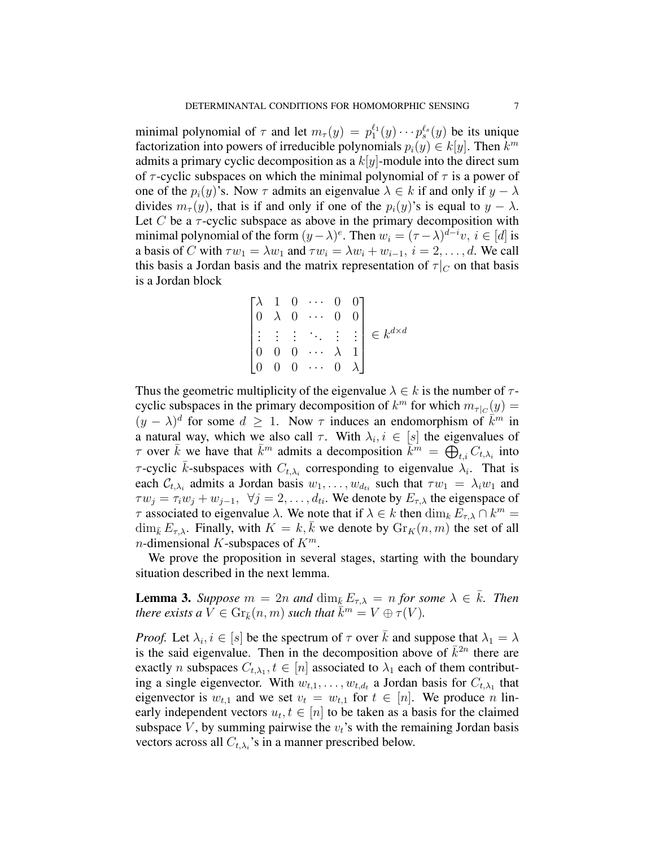minimal polynomial of  $\tau$  and let  $m_{\tau}(y) = p_1^{\ell_1}$  $l_1^{l_1}(y) \cdots p_s^{l_s}(y)$  be its unique factorization into powers of irreducible polynomials  $p_i(y) \in k[y]$ . Then  $k^m$ admits a primary cyclic decomposition as a  $k[y]$ -module into the direct sum of  $\tau$ -cyclic subspaces on which the minimal polynomial of  $\tau$  is a power of one of the  $p_i(y)$ 's. Now  $\tau$  admits an eigenvalue  $\lambda \in k$  if and only if  $y - \lambda$ divides  $m_{\tau}(y)$ , that is if and only if one of the  $p_i(y)$ 's is equal to  $y - \lambda$ . Let  $C$  be a  $\tau$ -cyclic subspace as above in the primary decomposition with minimal polynomial of the form  $(y - \lambda)^e$ . Then  $w_i = (\tau - \lambda)^{d-i}v$ ,  $i \in [d]$  is a basis of C with  $\tau w_1 = \lambda w_1$  and  $\tau w_i = \lambda w_i + w_{i-1}$ ,  $i = 2, \dots, d$ . We call this basis a Jordan basis and the matrix representation of  $\tau|_C$  on that basis is a Jordan block

$$
\begin{bmatrix}\n\lambda & 1 & 0 & \cdots & 0 & 0 \\
0 & \lambda & 0 & \cdots & 0 & 0 \\
\vdots & \vdots & \vdots & \ddots & \vdots & \vdots \\
0 & 0 & 0 & \cdots & \lambda & 1 \\
0 & 0 & 0 & \cdots & 0 & \lambda\n\end{bmatrix} \in k^{d \times d}
$$

Thus the geometric multiplicity of the eigenvalue  $\lambda \in k$  is the number of  $\tau$ cyclic subspaces in the primary decomposition of  $k^m$  for which  $m_{\tau|c}(y) =$  $(y - \lambda)^d$  for some  $d \geq 1$ . Now  $\tau$  induces an endomorphism of  $\overline{k}^m$  in a natural way, which we also call  $\tau$ . With  $\lambda_i, i \in [s]$  the eigenvalues of  $\tau$  over  $\bar{k}$  we have that  $\bar{k}^m$  admits a decomposition  $\bar{k}^m = \bigoplus_{t,i} C_{t,\lambda_i}$  into  $\tau$ -cyclic  $\bar{k}$ -subspaces with  $C_{t,\lambda_i}$  corresponding to eigenvalue  $\lambda_i$ . That is each  $\mathcal{C}_{t,\lambda_i}$  admits a Jordan basis  $w_1, \ldots, w_{d_{ti}}$  such that  $\tau w_1 = \lambda_i w_1$  and  $\tau w_j = \tau_i w_j + w_{j-1}, \ \forall j = 2, \dots, d_{ti}$ . We denote by  $E_{\tau, \lambda}$  the eigenspace of  $\tau$  associated to eigenvalue  $\lambda$ . We note that if  $\lambda \in k$  then  $\dim_k E_{\tau,\lambda} \cap k^m =$  $\dim_{\bar{k}} E_{\tau,\lambda}$ . Finally, with  $K = k, k$  we denote by  $\text{Gr}_K(n, m)$  the set of all *n*-dimensional *K*-subspaces of  $K^m$ .

We prove the proposition in several stages, starting with the boundary situation described in the next lemma.

<span id="page-6-0"></span>**Lemma 3.** Suppose  $m = 2n$  and  $\dim_{\bar{k}} E_{\tau,\lambda} = n$  for some  $\lambda \in \bar{k}$ . Then *there exists a*  $\widehat{V} \in \text{Gr}_{\bar{k}}(n, m)$  *such that*  $\overline{k}^m = V \oplus \tau(V)$ *.* 

*Proof.* Let  $\lambda_i, i \in [s]$  be the spectrum of  $\tau$  over  $\overline{k}$  and suppose that  $\lambda_1 = \lambda$ is the said eigenvalue. Then in the decomposition above of  $\bar{k}^{2n}$  there are exactly *n* subspaces  $C_{t,\lambda_1}$ ,  $t \in [n]$  associated to  $\lambda_1$  each of them contributing a single eigenvector. With  $w_{t,1}, \ldots, w_{t,d_t}$  a Jordan basis for  $C_{t,\lambda_1}$  that eigenvector is  $w_{t,1}$  and we set  $v_t = w_{t,1}$  for  $t \in [n]$ . We produce n linearly independent vectors  $u_t, t \in [n]$  to be taken as a basis for the claimed subspace  $V$ , by summing pairwise the  $v_t$ 's with the remaining Jordan basis vectors across all  $C_{t,\lambda_i}$ 's in a manner prescribed below.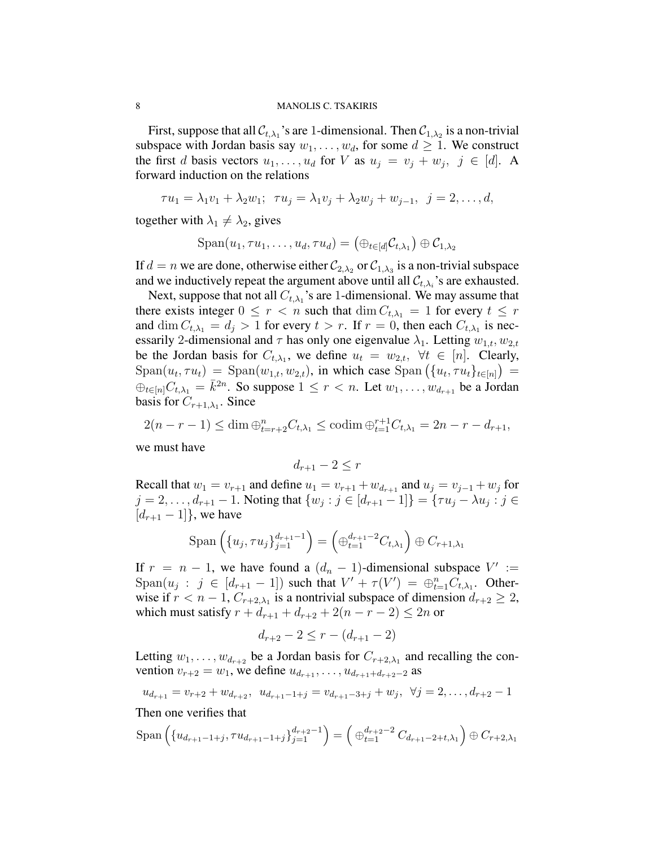First, suppose that all  $\mathcal{C}_{t,\lambda_1}$ 's are 1-dimensional. Then  $\mathcal{C}_{1,\lambda_2}$  is a non-trivial subspace with Jordan basis say  $w_1, \ldots, w_d$ , for some  $d \geq 1$ . We construct the first d basis vectors  $u_1, \ldots, u_d$  for V as  $u_j = v_j + w_j$ ,  $j \in [d]$ . A forward induction on the relations

$$
\tau u_1 = \lambda_1 v_1 + \lambda_2 w_1; \ \ \tau u_j = \lambda_1 v_j + \lambda_2 w_j + w_{j-1}, \ \ j = 2, \dots, d,
$$

together with  $\lambda_1 \neq \lambda_2$ , gives

$$
\mathrm{Span}(u_1, \tau u_1, \ldots, u_d, \tau u_d) = (\oplus_{t \in [d]} \mathcal{C}_{t, \lambda_1}) \oplus \mathcal{C}_{1, \lambda_2}
$$

If  $d = n$  we are done, otherwise either  $\mathcal{C}_{2,\lambda_2}$  or  $\mathcal{C}_{1,\lambda_3}$  is a non-trivial subspace and we inductively repeat the argument above until all  $\mathcal{C}_{t,\lambda_i}$ 's are exhausted.

Next, suppose that not all  $C_{t,\lambda_1}$ 's are 1-dimensional. We may assume that there exists integer  $0 \le r < n$  such that  $\dim C_{t,\lambda_1} = 1$  for every  $t \le r$ and  $\dim C_{t,\lambda_1} = d_j > 1$  for every  $t > r$ . If  $r = 0$ , then each  $C_{t,\lambda_1}$  is necessarily 2-dimensional and  $\tau$  has only one eigenvalue  $\lambda_1$ . Letting  $w_{1,t}$ ,  $w_{2,t}$ be the Jordan basis for  $C_{t,\lambda_1}$ , we define  $u_t = w_{2,t}$ ,  $\forall t \in [n]$ . Clearly,  $\text{Span}(u_t, \tau u_t) = \text{Span}(w_{1,t}, w_{2,t}),$  in which case  $\text{Span}(\{u_t, \tau u_t\}_{t \in [n]}) =$  $\bigoplus_{t\in[n]}C_{t,\lambda_1}=\overline{k}^{2n}$ . So suppose  $1\leq r < n$ . Let  $w_1,\ldots,w_{d_{r+1}}$  be a Jordan basis for  $C_{r+1,\lambda_1}$ . Since

$$
2(n - r - 1) \le \dim \oplus_{t = r + 2}^{n} C_{t, \lambda_1} \le \text{codim } \oplus_{t = 1}^{r + 1} C_{t, \lambda_1} = 2n - r - d_{r + 1},
$$

we must have

$$
d_{r+1} - 2 \le r
$$

Recall that  $w_1 = v_{r+1}$  and define  $u_1 = v_{r+1} + w_{d_{r+1}}$  and  $u_j = v_{j-1} + w_j$  for  $j = 2, ..., d_{r+1} - 1$ . Noting that  $\{w_j : j \in [d_{r+1} - 1]\} = \{\tau u_j - \lambda u_j : j \in$  $[d_{r+1}-1]$ , we have

$$
\text{Span}\left(\{u_j, \tau u_j\}_{j=1}^{d_{r+1}-1}\right) = \left(\bigoplus_{t=1}^{d_{r+1}-2} C_{t,\lambda_1}\right) \oplus C_{r+1,\lambda_1}
$$

If  $r = n - 1$ , we have found a  $(d_n - 1)$ -dimensional subspace  $V' :=$  $\text{Span}(u_j : j \in [d_{r+1}-1])$  such that  $V' + \tau(V') = \bigoplus_{t=1}^n C_{t,\lambda_1}$ . Otherwise if  $r < n - 1$ ,  $C_{r+2,\lambda_1}$  is a nontrivial subspace of dimension  $d_{r+2} \geq 2$ , which must satisfy  $r + d_{r+1} + d_{r+2} + 2(n - r - 2) \leq 2n$  or

$$
d_{r+2} - 2 \le r - (d_{r+1} - 2)
$$

Letting  $w_1, \ldots, w_{d_{r+2}}$  be a Jordan basis for  $C_{r+2,\lambda_1}$  and recalling the convention  $v_{r+2} = w_1$ , we define  $u_{d_{r+1}}, \ldots, u_{d_{r+1}+d_{r+2}-2}$  as

$$
u_{d_{r+1}} = v_{r+2} + w_{d_{r+2}}, \ \ u_{d_{r+1}-1+j} = v_{d_{r+1}-3+j} + w_j, \ \ \forall j = 2, \dots, d_{r+2}-1
$$

Then one verifies that

$$
\text{Span}\left(\{u_{d_{r+1}-1+j}, \tau u_{d_{r+1}-1+j}\}_{j=1}^{d_{r+2}-1}\right) = \left(\bigoplus_{t=1}^{d_{r+2}-2} C_{d_{r+1}-2+t,\lambda_1}\right) \oplus C_{r+2,\lambda_1}
$$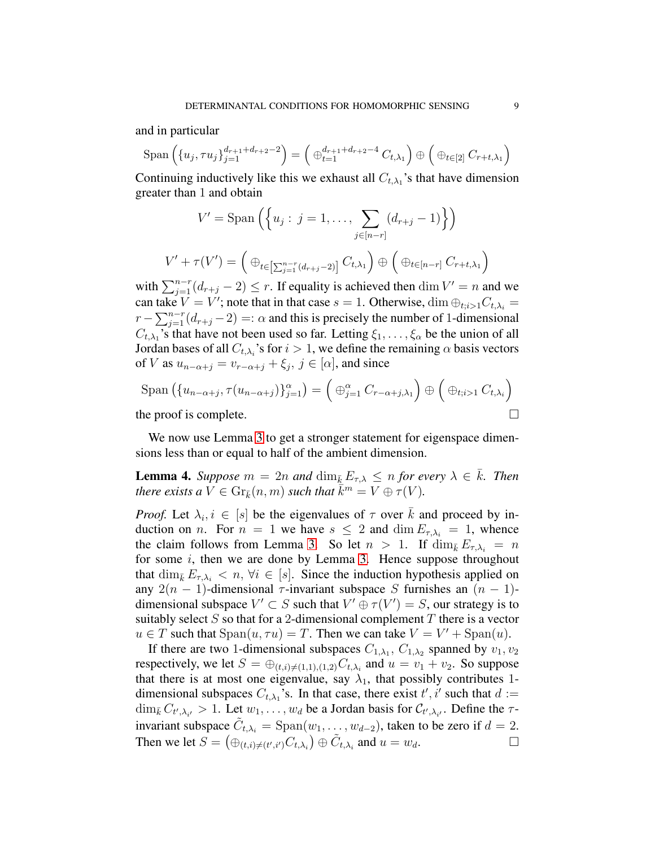and in particular

 $\text{Span}\left(\{u_j,\tau u_j\}_{j=1}^{d_{r+1}+d_{r+2}-2}\right)=\Big(\oplus_{t=1}^{d_{r+1}+d_{r+2}-4} C_{t,\lambda_1}\Big) \oplus \Big(\oplus_{t\in [2]} C_{r+t,\lambda_1}\Big).$ 

Continuing inductively like this we exhaust all  $C_{t,\lambda_1}$ 's that have dimension greater than 1 and obtain

$$
V' = \text{Span}\left(\left\{u_j : j = 1, \dots, \sum_{j \in [n-r]} (d_{r+j} - 1)\right\}\right)
$$

$$
V' + \tau(V') = \left(\bigoplus_{t \in \left[\sum_{j=1}^{n-r} (d_{r+j} - 2)\right]} C_{t,\lambda_1}\right) \oplus \left(\bigoplus_{t \in [n-r]} C_{r+t,\lambda_1}\right)
$$

with  $\sum_{j=1}^{n-r} (d_{r+j} - 2) \le r$ . If equality is achieved then  $\dim V' = n$  and we can take  $V = V'$ ; note that in that case  $s = 1$ . Otherwise,  $\dim \oplus_{t, i > 1} C_{t, \lambda_i} =$  $r - \sum_{j=1}^{n-r} (d_{r+j} - 2) =: \alpha$  and this is precisely the number of 1-dimensional  $C_{t,\lambda_1}$ 's that have not been used so far. Letting  $\xi_1,\ldots,\xi_\alpha$  be the union of all Jordan bases of all  $C_{t,\lambda_i}$ 's for  $i > 1$ , we define the remaining  $\alpha$  basis vectors of *V* as  $u_{n-\alpha+j} = v_{r-\alpha+j} + \xi_j$ ,  $j \in [\alpha]$ , and since

$$
\text{Span}\left(\{u_{n-\alpha+j},\tau(u_{n-\alpha+j})\}_{j=1}^{\alpha}\right) = \left(\bigoplus_{j=1}^{\alpha} C_{r-\alpha+j,\lambda_1}\right) \oplus \left(\bigoplus_{t,i>1} C_{t,\lambda_i}\right)
$$
\nthe proof is complete.

\n
$$
\Box
$$

We now use Lemma [3](#page-6-0) to get a stronger statement for eigenspace dimensions less than or equal to half of the ambient dimension.

<span id="page-8-0"></span>**Lemma 4.** Suppose  $m = 2n$  and  $\dim_{\bar{k}} E_{\tau,\lambda} \leq n$  for every  $\lambda \in k$ . Then *there exists a*  $\widehat{V} \in \text{Gr}_{\bar{k}}(n, m)$  *such that*  $\overline{k}^m = V \oplus \tau(V)$ *.* 

*Proof.* Let  $\lambda_i, i \in [s]$  be the eigenvalues of  $\tau$  over  $\overline{k}$  and proceed by induction on n. For  $n = 1$  we have  $s \leq 2$  and  $\dim E_{\tau,\lambda_i} = 1$ , whence the claim follows from Lemma [3.](#page-6-0) So let  $n > 1$ . If  $\dim_{\bar{k}} E_{\tau,\lambda_i} = n$ for some  $i$ , then we are done by Lemma [3.](#page-6-0) Hence suppose throughout that  $\dim_{\bar{k}} E_{\tau,\lambda_i} < n, \forall i \in [s]$ . Since the induction hypothesis applied on any 2(n − 1)-dimensional  $\tau$ -invariant subspace S furnishes an  $(n - 1)$ dimensional subspace  $V' \subset S$  such that  $V' \oplus \tau(V') = S$ , our strategy is to suitably select  $S$  so that for a 2-dimensional complement  $T$  there is a vector  $u \in T$  such that  $Span(u, \tau u) = T$ . Then we can take  $V = V' + Span(u)$ .

If there are two 1-dimensional subspaces  $C_{1,\lambda_1}$ ,  $C_{1,\lambda_2}$  spanned by  $v_1, v_2$ respectively, we let  $S = \bigoplus_{(t,i) \neq (1,1), (1,2)} C_{t,\lambda_i}$  and  $u = v_1 + v_2$ . So suppose that there is at most one eigenvalue, say  $\lambda_1$ , that possibly contributes 1dimensional subspaces  $C_{t,\lambda_1}$ 's. In that case, there exist  $t', i'$  such that  $d :=$  $\dim_{\bar{k}} C_{t',\lambda_{i'}} > 1$ . Let  $w_1, \ldots, w_d$  be a Jordan basis for  $C_{t',\lambda_{i'}}$ . Define the  $\tau$ invariant subspace  $\tilde{C}_{t,\lambda_i} = \text{Span}(w_1, \dots, w_{d-2})$ , taken to be zero if  $d = 2$ . Then we let  $S = (\bigoplus_{(t,i) \neq (t',i')} C_{t,\lambda_i}) \oplus \tilde{C}_{t,\lambda_i}$  and  $u = w_d$ .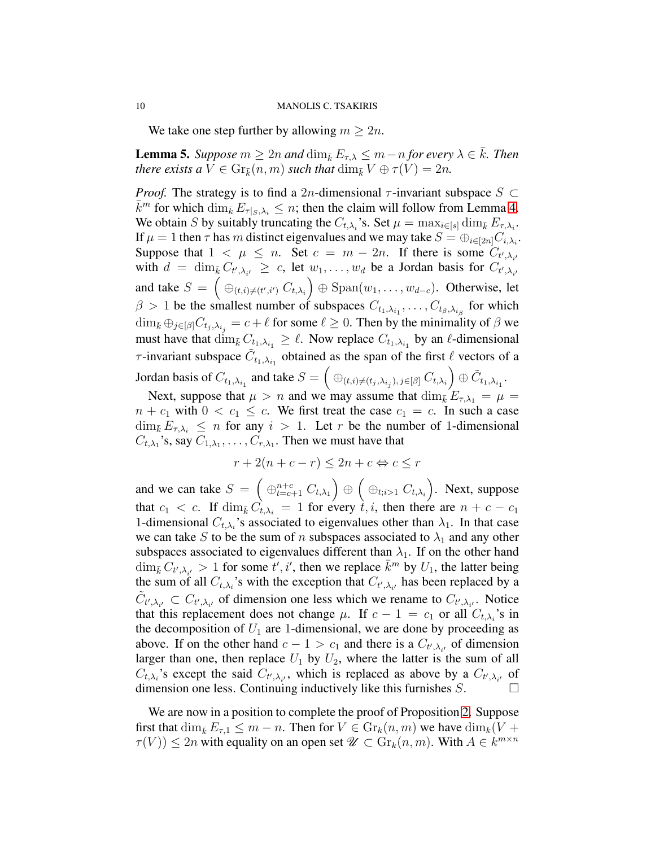We take one step further by allowing  $m \geq 2n$ .

<span id="page-9-0"></span>**Lemma 5.** *Suppose*  $m \geq 2n$  *and*  $\dim_{\bar{k}} E_{\tau,\lambda} \leq m - n$  *for every*  $\lambda \in \bar{k}$ *. Then there exists a*  $V \in \mathrm{Gr}_{\bar{k}}(n,m)$  *such that*  $\dim_{\bar{k}} V \oplus \tau(V) = 2n$ .

*Proof.* The strategy is to find a 2n-dimensional  $\tau$ -invariant subspace  $S \subset$  $\bar{k}^m$  for which  $\dim_{\bar{k}} E_{\tau|_{S},\lambda_i} \leq n$ ; then the claim will follow from Lemma [4.](#page-8-0) We obtain S by suitably truncating the  $C_{t,\lambda_i}$ 's. Set  $\mu = \max_{i \in [s]} \dim_{\bar{k}} E_{\tau,\lambda_i}$ . If  $\mu = 1$  then  $\tau$  has  $m$  distinct eigenvalues and we may take  $S = \bigoplus_{i \in [2n]} C_{i,\lambda_i}$ . Suppose that  $1 \lt \mu \leq n$ . Set  $c = m - 2n$ . If there is some  $C_{t', \lambda_{i'}}$ with  $d = \dim_{\bar{k}} C_{t', \lambda_{i'}} \geq c$ , let  $w_1, \ldots, w_d$  be a Jordan basis for  $C_{t', \lambda_{i'}}$ and take  $S = (\bigoplus_{(t,i)\neq (t',i')} C_{t,\lambda_i}) \oplus \text{Span}(w_1,\ldots,w_{d-c})$ . Otherwise, let  $\beta > 1$  be the smallest number of subspaces  $C_{t_1, \lambda_{i_1}}, \ldots, C_{t_\beta, \lambda_{i_\beta}}$  for which  $\dim_{\bar{k}} \oplus_{j \in [\beta]} C_{t_j, \lambda_{i_j}} = c + \ell$  for some  $\ell \ge 0$ . Then by the minimality of  $\beta$  we must have that  $\dim_{\bar{k}} C_{t_1,\lambda_{i_1}} \geq \ell$ . Now replace  $C_{t_1,\lambda_{i_1}}$  by an  $\ell$ -dimensional  $\tau$ -invariant subspace  $\tilde{C}_{t_1,\lambda_{i_1}}$  obtained as the span of the first  $\ell$  vectors of a Jordan basis of  $C_{t_1,\lambda_{i_1}}$  and take  $S = \left( \bigoplus_{(t,i) \neq (t_j,\lambda_{i_j}), j \in [\beta]} C_{t,\lambda_i} \right) \oplus \tilde{C}_{t_1,\lambda_{i_1}}$ .

Next, suppose that  $\mu > n$  and we may assume that  $\dim_{\bar{k}} E_{\tau,\lambda_1} = \mu =$  $n + c_1$  with  $0 < c_1 \leq c$ . We first treat the case  $c_1 = c$ . In such a case  $\dim_{\bar{k}} E_{\tau,\lambda_i} \leq n$  for any  $i > 1$ . Let r be the number of 1-dimensional  $C_{t,\lambda_1}$ 's, say  $C_{1,\lambda_1}, \ldots, C_{r,\lambda_1}$ . Then we must have that

$$
r + 2(n + c - r) \le 2n + c \Leftrightarrow c \le r
$$

and we can take  $S = \left( \bigoplus_{t=c+1}^{n+c} C_{t,\lambda_1} \right) \oplus \left( \bigoplus_{t,i>1} C_{t,\lambda_i} \right)$ . Next, suppose that  $c_1 < c$ . If  $\dim_{\bar{k}} C_{t,\lambda_i} = 1$  for every  $\dot{t}, i$ , then there are  $n + c - c_1$ 1-dimensional  $C_{t,\lambda_i}$ 's associated to eigenvalues other than  $\lambda_1$ . In that case we can take S to be the sum of n subspaces associated to  $\lambda_1$  and any other subspaces associated to eigenvalues different than  $\lambda_1$ . If on the other hand  $\dim_{\bar{k}} C_{t',\lambda_{i'}} > 1$  for some  $t', i'$ , then we replace  $\bar{k}^m$  by  $U_1$ , the latter being the sum of all  $C_{t,\lambda_i}$ 's with the exception that  $C_{t',\lambda_{i'}}$  has been replaced by a  $\tilde{C}_{t',\lambda_{i'}} \subset C_{t',\lambda_{i'}}$  of dimension one less which we rename to  $C_{t',\lambda_{i'}}$ . Notice that this replacement does not change  $\mu$ . If  $c - 1 = c_1$  or all  $C_{t,\lambda_i}$ 's in the decomposition of  $U_1$  are 1-dimensional, we are done by proceeding as above. If on the other hand  $c - 1 > c_1$  and there is a  $C_{t', \lambda_{i'}}$  of dimension larger than one, then replace  $U_1$  by  $U_2$ , where the latter is the sum of all  $C_{t,\lambda_i}$ 's except the said  $C_{t',\lambda_{i'}}$ , which is replaced as above by a  $C_{t',\lambda_{i'}}$  of dimension one less. Continuing inductively like this furnishes  $S$ .

We are now in a position to complete the proof of Proposition [2.](#page-2-0) Suppose first that  $\dim_{\bar{k}} E_{\tau,1} \leq m-n$ . Then for  $V \in \mathrm{Gr}_k(n,m)$  we have  $\dim_k(V +$  $\tau(V)$ )  $\leq 2n$  with equality on an open set  $\mathscr{U} \subset \text{Gr}_k(n,m)$ . With  $A \in k^{m \times n}$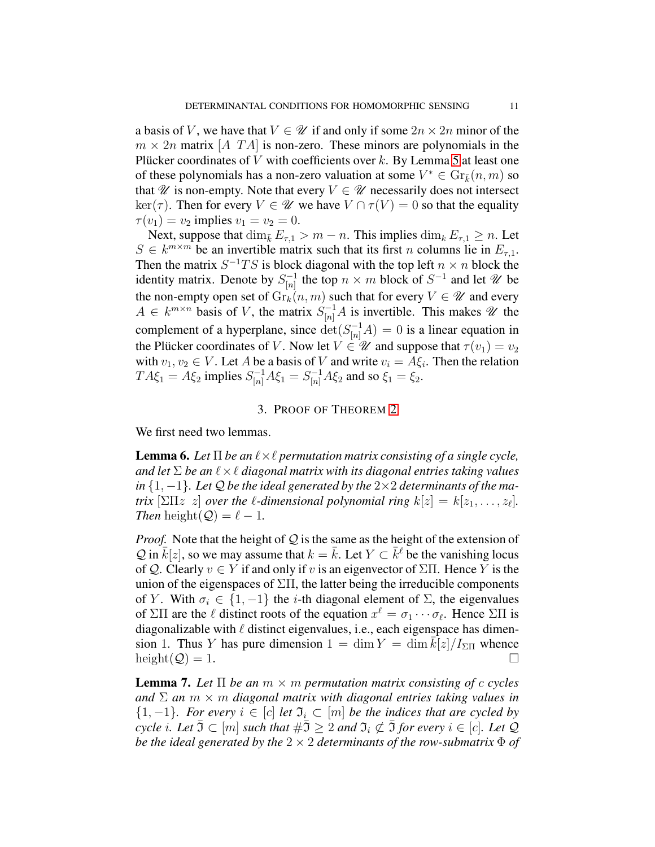a basis of V, we have that  $V \in \mathcal{U}$  if and only if some  $2n \times 2n$  minor of the  $m \times 2n$  matrix [A TA] is non-zero. These minors are polynomials in the Plücker coordinates of V with coefficients over  $k$ . By Lemma [5](#page-9-0) at least one of these polynomials has a non-zero valuation at some  $V^* \in \mathrm{Gr}_{\bar{k}}(n,m)$  so that W is non-empty. Note that every  $V \in \mathcal{U}$  necessarily does not intersect  $\ker(\tau)$ . Then for every  $V \in \mathscr{U}$  we have  $V \cap \tau(V) = 0$  so that the equality  $\tau(v_1) = v_2$  implies  $v_1 = v_2 = 0$ .

Next, suppose that  $\dim_{\bar{k}} E_{\tau,1} > m - n$ . This implies  $\dim_k E_{\tau,1} \geq n$ . Let  $S \in k^{m \times m}$  be an invertible matrix such that its first *n* columns lie in  $E_{\tau,1}$ . Then the matrix  $S^{-1}TS$  is block diagonal with the top left  $n \times n$  block the identity matrix. Denote by  $S_{[n]}^{-1}$  $\binom{-1}{[n]}$  the top  $n \times m$  block of  $S^{-1}$  and let  $\mathscr U$  be the non-empty open set of  $\operatorname{Gr}_k(n, m)$  such that for every  $V \in \mathcal{U}$  and every  $A \in k^{m \times n}$  basis of V, the matrix  $S_{[n]}^{-1}A$  is invertible. This makes  $\mathscr{U}$  the complement of a hyperplane, since  $\det(S_{[n]}^{-1}A) = 0$  is a linear equation in the Plücker coordinates of V. Now let  $V \in \mathscr{U}$  and suppose that  $\tau(v_1) = v_2$ with  $v_1, v_2 \in V$ . Let A be a basis of V and write  $v_i = A \xi_i$ . Then the relation  $TA\xi_1 = A\xi_2$  implies  $S_{[n]}^{-1}A\xi_1 = S_{[n]}^{-1}A\xi_2$  and so  $\xi_1 = \xi_2$ .

#### 3. PROOF OF THEOREM [2](#page-1-1)

We first need two lemmas.

<span id="page-10-0"></span>**Lemma 6.** Let  $\Pi$  be an  $\ell \times \ell$  permutation matrix consisting of a single cycle, *and let* Σ *be an* ℓ×ℓ *diagonal matrix with its diagonal entries taking values in*  $\{1, -1\}$ *. Let*  $\mathcal Q$  *be the ideal generated by the*  $2 \times 2$  *determinants of the matrix*  $[\Sigma \Pi z \ z]$  *over the l-dimensional polynomial ring*  $k[z] = k[z_1, \ldots, z_\ell]$ *. Then* height( $Q$ ) =  $\ell$  - 1*.* 

*Proof.* Note that the height of  $Q$  is the same as the height of the extension of Q in  $\bar{k}[z]$ , so we may assume that  $k = \bar{k}$ . Let  $Y \subset \bar{k}^{\ell}$  be the vanishing locus of Q. Clearly  $v \in Y$  if and only if v is an eigenvector of  $\Sigma \Pi$ . Hence Y is the union of the eigenspaces of  $\Sigma\Pi$ , the latter being the irreducible components of Y. With  $\sigma_i \in \{1, -1\}$  the *i*-th diagonal element of  $\Sigma$ , the eigenvalues of  $\Sigma\Pi$  are the  $\ell$  distinct roots of the equation  $x^{\ell} = \sigma_1 \cdots \sigma_{\ell}$ . Hence  $\Sigma\Pi$  is diagonalizable with  $\ell$  distinct eigenvalues, i.e., each eigenspace has dimension 1. Thus Y has pure dimension  $1 = \dim Y = \dim k[z]/I_{\Sigma\Pi}$  whence height( $Q$ ) = 1.

<span id="page-10-1"></span>**Lemma 7.** Let  $\Pi$  be an  $m \times m$  permutation matrix consisting of c cycles *and* Σ *an* m × m *diagonal matrix with diagonal entries taking values in*  $\{1, -1\}$ *. For every*  $i \in [c]$  *let*  $\mathfrak{I}_i \subset [m]$  *be the indices that are cycled by cycle i.* Let  $\mathfrak{I} \subset [m]$  *such that*  $\#\mathfrak{I} \geq 2$  *and*  $\mathfrak{I}_i \not\subset \mathfrak{I}$  *for every*  $i \in [c]$ *. Let*  $\mathcal{Q}$ *be the ideal generated by the* 2 × 2 *determinants of the row-submatrix* Φ *of*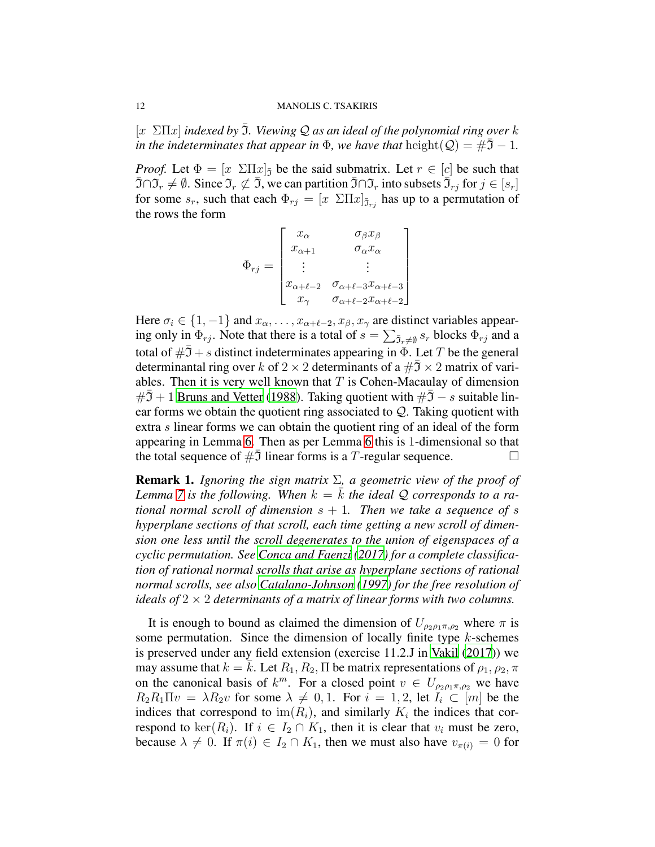$[x \Sigma \Pi x]$  *indexed by*  $\overline{3}$ *. Viewing* Q *as an ideal of the polynomial ring over* k *in the indeterminates that appear in*  $\Phi$ *, we have that* height( $Q$ ) =  $\#Z - 1$ *.* 

*Proof.* Let  $\Phi = [x \Sigma \Pi x]_{\bar{2}}$  be the said submatrix. Let  $r \in [c]$  be such that  $\bar{\mathfrak{I}} \cap \tilde{\mathfrak{I}}_r \neq \emptyset$ . Since  $\mathfrak{I}_r \not\subset \bar{\mathfrak{I}}$ , we can partition  $\bar{\mathfrak{I}} \cap \mathfrak{I}_r$  into subsets  $\bar{\mathfrak{I}}_{rj}$  for  $j \in [s_r]$ for some  $s_r$ , such that each  $\Phi_{rj} = [x \Sigma \Pi x]_{\bar{\mathfrak{I}}_{rj}}$  has up to a permutation of the rows the form

$$
\Phi_{rj} = \begin{bmatrix} x_{\alpha} & \sigma_{\beta} x_{\beta} \\ x_{\alpha+1} & \sigma_{\alpha} x_{\alpha} \\ \vdots & \vdots \\ x_{\alpha+\ell-2} & \sigma_{\alpha+\ell-3} x_{\alpha+\ell-3} \\ x_{\gamma} & \sigma_{\alpha+\ell-2} x_{\alpha+\ell-2} \end{bmatrix}
$$

Here  $\sigma_i \in \{1, -1\}$  and  $x_{\alpha}, \ldots, x_{\alpha+\ell-2}, x_{\beta}, x_{\gamma}$  are distinct variables appearing only in  $\Phi_{rj}$ . Note that there is a total of  $s = \sum_{\bar{\mathfrak{I}}_r \neq \emptyset} s_r$  blocks  $\Phi_{rj}$  and a total of  $\#\overline{3}$  + s distinct indeterminates appearing in  $\Phi$ . Let T be the general determinantal ring over k of  $2 \times 2$  determinants of a  $\#\mathfrak{I} \times 2$  matrix of variables. Then it is very well known that  $T$  is Cohen-Macaulay of dimension  $#J + 1$  [Bruns and Vetter](#page-13-4) [\(1988\)](#page-13-4). Taking quotient with  $#J - s$  suitable linear forms we obtain the quotient ring associated to  $Q$ . Taking quotient with extra s linear forms we can obtain the quotient ring of an ideal of the form appearing in Lemma [6.](#page-10-0) Then as per Lemma [6](#page-10-0) this is 1-dimensional so that the total sequence of  $\#\bar{3}$  linear forms is a T-regular sequence.

Remark 1. *Ignoring the sign matrix* Σ*, a geometric view of the proof of* Lemma [7](#page-10-1) is the following. When  $k = k$  the ideal Q corresponds to a ra*tional normal scroll of dimension*  $s + 1$ *. Then we take a sequence of s hyperplane sections of that scroll, each time getting a new scroll of dimension one less until the scroll degenerates to the union of eigenspaces of a cyclic permutation. See [Conca and Faenzi \(2017\)](#page-13-5) for a complete classification of rational normal scrolls that arise as hyperplane sections of rational normal scrolls, see also [Catalano-Johnson \(1997](#page-13-6)) for the free resolution of ideals of* 2 × 2 *determinants of a matrix of linear forms with two columns.*

It is enough to bound as claimed the dimension of  $U_{\rho_2\rho_1\pi,\rho_2}$  where  $\pi$  is some permutation. Since the dimension of locally finite type  $k$ -schemes is preserved under any field extension (exercise 11.2.J in [Vakil \(2017\)](#page-14-2)) we may assume that  $k = k$ . Let  $R_1, R_2, \Pi$  be matrix representations of  $\rho_1, \rho_2, \pi$ on the canonical basis of  $k^m$ . For a closed point  $v \in U_{\rho_2\rho_1\pi,\rho_2}$  we have  $R_2R_1\Pi v = \lambda R_2v$  for some  $\lambda \neq 0, 1$ . For  $i = 1, 2$ , let  $I_i \subset [m]$  be the indices that correspond to  $\text{im}(R_i)$ , and similarly  $K_i$  the indices that correspond to ker( $R_i$ ). If  $i \in I_2 \cap K_1$ , then it is clear that  $v_i$  must be zero, because  $\lambda \neq 0$ . If  $\pi(i) \in I_2 \cap K_1$ , then we must also have  $v_{\pi(i)} = 0$  for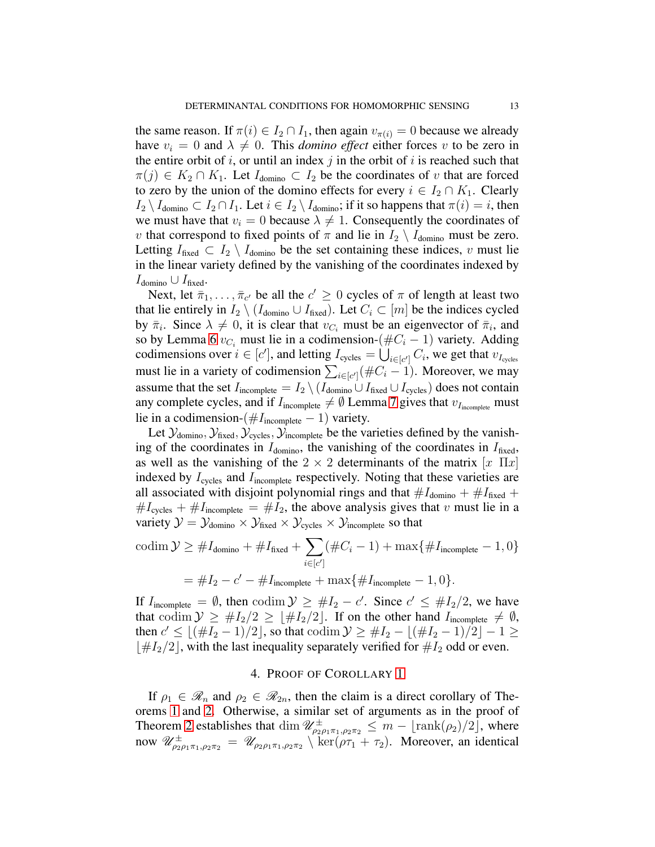the same reason. If  $\pi(i) \in I_2 \cap I_1$ , then again  $v_{\pi(i)} = 0$  because we already have  $v_i = 0$  and  $\lambda \neq 0$ . This *domino effect* either forces v to be zero in the entire orbit of  $i$ , or until an index  $j$  in the orbit of  $i$  is reached such that  $\pi(j) \in K_2 \cap K_1$ . Let  $I_{\text{domino}} \subset I_2$  be the coordinates of v that are forced to zero by the union of the domino effects for every  $i \in I_2 \cap K_1$ . Clearly  $I_2 \setminus I_{\text{domino}} \subset I_2 \cap I_1$ . Let  $i \in I_2 \setminus I_{\text{domino}}$ ; if it so happens that  $\pi(i) = i$ , then we must have that  $v_i = 0$  because  $\lambda \neq 1$ . Consequently the coordinates of v that correspond to fixed points of  $\pi$  and lie in  $I_2 \setminus I_{\text{domino}}$  must be zero. Letting  $I_{\text{fixed}} \subset I_2 \setminus I_{\text{domino}}$  be the set containing these indices, v must lie in the linear variety defined by the vanishing of the coordinates indexed by  $I_{\text{domino}} \cup I_{\text{fixed}}$ .

Next, let  $\bar{\pi}_1, \ldots, \bar{\pi}_{c'}$  be all the  $c' \geq 0$  cycles of  $\pi$  of length at least two that lie entirely in  $I_2 \setminus (I_{\text{domino}} \cup I_{\text{fixed}})$ . Let  $C_i \subset [m]$  be the indices cycled by  $\bar{\pi}_i$ . Since  $\lambda \neq 0$ , it is clear that  $v_{C_i}$  must be an eigenvector of  $\bar{\pi}_i$ , and so by Lemma [6](#page-10-0)  $v_{C_i}$  must lie in a codimension-( $\#C_i - 1$ ) variety. Adding codimensions over  $i \in [c']$ , and letting  $I_{\text{cycles}} = \bigcup_{i \in [c']} C_i$ , we get that  $v_{I_{\text{cycles}}}$ must lie in a variety of codimension  $\sum_{i \in [c']} (\#C_i - 1)$ . Moreover, we may assume that the set  $I_{\text{incomplete}} = I_2 \setminus (I_{\text{domino}} \cup I_{\text{fixed}} \cup I_{\text{cycles}})$  does not contain any complete cycles, and if  $I_{\text{incomplete}} \neq \emptyset$  Lemma [7](#page-10-1) gives that  $v_{I_{\text{incomplete}}}$  must lie in a codimension- $(\#I_{\text{incomplete}}-1)$  variety.

Let  $\mathcal{Y}_{\text{domino}}, \mathcal{Y}_{\text{fixed}}, \mathcal{Y}_{\text{cycles}}, \mathcal{Y}_{\text{incomplete}}$  be the varieties defined by the vanishing of the coordinates in  $I_{\text{domino}}$ , the vanishing of the coordinates in  $I_{\text{fixed}}$ , as well as the vanishing of the  $2 \times 2$  determinants of the matrix  $|x \Pi x|$ indexed by  $I_{\text{cycles}}$  and  $I_{\text{incomplete}}$  respectively. Noting that these varieties are all associated with disjoint polynomial rings and that  $\#I_{\text{domino}} + \#I_{\text{fixed}} +$  $\#I_{\text{cycles}} + \#I_{\text{incomplete}} = \#I_2$ , the above analysis gives that v must lie in a variety  $\mathcal{Y} = \mathcal{Y}_{\text{domino}} \times \mathcal{Y}_{\text{fixed}} \times \mathcal{Y}_{\text{cycles}} \times \mathcal{Y}_{\text{incomplete}}$  so that

$$
\text{codim }\mathcal{Y} \geq #I_{\text{domino}} + #I_{\text{fixed}} + \sum_{i \in [c']} (\#C_i - 1) + \max\{\#I_{\text{incomplete}} - 1, 0\}
$$

$$
= #I_2 - c' - #I_{\text{incomplete}} + \max\{\#I_{\text{incomplete}} - 1, 0\}.
$$

If  $I_{\text{incomplete}} = \emptyset$ , then  $\text{codim } \mathcal{Y} \geq \#I_2 - c'$ . Since  $c' \leq \#I_2/2$ , we have that codim  $\mathcal{Y} \geq \#I_2/2 \geq \lfloor \#I_2/2 \rfloor$ . If on the other hand  $I_{\text{incomplete}} \neq \emptyset$ , then  $c' \leq \lfloor (H_2 - 1)/2 \rfloor$ , so that codim  $\mathcal{Y} \geq H_2 - \lfloor (H_2 - 1)/2 \rfloor - 1 \geq 1$  $|\#I_2/2|$ , with the last inequality separately verified for  $\#I_2$  odd or even.

#### 4. PROOF OF COROLLARY [1](#page-1-2)

If  $\rho_1 \in \mathcal{R}_n$  and  $\rho_2 \in \mathcal{R}_{2n}$ , then the claim is a direct corollary of Theorems [1](#page-1-0) and [2.](#page-1-1) Otherwise, a similar set of arguments as in the proof of Theorem [2](#page-1-1) establishes that  $\dim \mathcal{U}^{\pm}_{\rho_2\rho_1\pi_1,\rho_2\pi_2} \leq m - \lfloor \text{rank}(\rho_2)/2 \rfloor$ , where now  $\mathscr{U}_{\rho_2\rho_1\pi_1,\rho_2\pi_2}^{\pm} = \mathscr{U}_{\rho_2\rho_1\pi_1,\rho_2\pi_2} \setminus \ker(\rho\tau_1 + \tau_2)$ . Moreover, an identical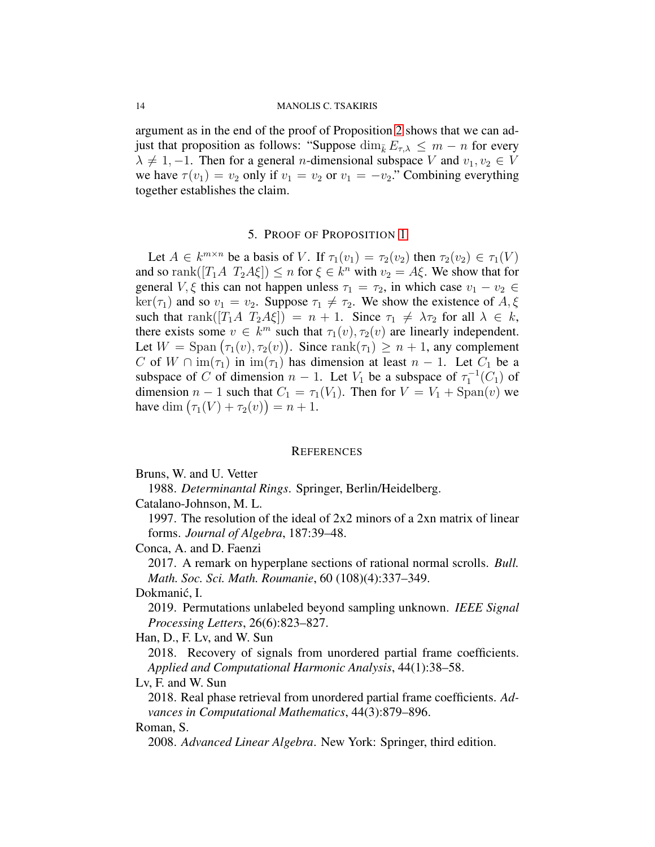argument as in the end of the proof of Proposition [2](#page-2-0) shows that we can adjust that proposition as follows: "Suppose  $\dim_{\bar{k}} E_{\tau,\lambda} \leq m - n$  for every  $\lambda \neq 1, -1$ . Then for a general *n*-dimensional subspace V and  $v_1, v_2 \in V$ we have  $\tau(v_1) = v_2$  only if  $v_1 = v_2$  or  $v_1 = -v_2$ ." Combining everything together establishes the claim.

## 5. PROOF OF PROPOSITION [1](#page-1-3)

Let  $A \in k^{m \times n}$  be a basis of V. If  $\tau_1(v_1) = \tau_2(v_2)$  then  $\tau_2(v_2) \in \tau_1(V)$ and so rank $([T_1A \ T_2A\xi]) \leq n$  for  $\xi \in k^n$  with  $v_2 = A\xi$ . We show that for general  $V, \xi$  this can not happen unless  $\tau_1 = \tau_2$ , in which case  $v_1 - v_2 \in$  $\ker(\tau_1)$  and so  $v_1 = v_2$ . Suppose  $\tau_1 \neq \tau_2$ . We show the existence of  $A, \xi$ such that rank $([T_1A \ T_2A\xi]) = n + 1$ . Since  $\tau_1 \neq \lambda \tau_2$  for all  $\lambda \in k$ , there exists some  $v \in k^m$  such that  $\tau_1(v), \tau_2(v)$  are linearly independent. Let  $W = \text{Span}(\tau_1(v), \tau_2(v))$ . Since  $\text{rank}(\tau_1) \geq n+1$ , any complement C of  $W \cap \text{im}(\tau_1)$  in  $\text{im}(\tau_1)$  has dimension at least  $n-1$ . Let  $C_1$  be a subspace of C of dimension  $n - 1$ . Let  $V_1$  be a subspace of  $\tau_1^{-1}(C_1)$  of dimension  $n - 1$  such that  $C_1 = \tau_1(V_1)$ . Then for  $V = V_1 + \text{Span}(v)$  we have dim  $(\tau_1(V) + \tau_2(v)) = n + 1$ .

#### **REFERENCES**

<span id="page-13-4"></span>Bruns, W. and U. Vetter

1988. *Determinantal Rings*. Springer, Berlin/Heidelberg.

<span id="page-13-6"></span>Catalano-Johnson, M. L.

1997. The resolution of the ideal of 2x2 minors of a 2xn matrix of linear forms. *Journal of Algebra*, 187:39–48.

<span id="page-13-5"></span>Conca, A. and D. Faenzi

2017. A remark on hyperplane sections of rational normal scrolls. *Bull. Math. Soc. Sci. Math. Roumanie*, 60 (108)(4):337–349.

<span id="page-13-2"></span>Dokmanić, I.

2019. Permutations unlabeled beyond sampling unknown. *IEEE Signal Processing Letters*, 26(6):823–827.

<span id="page-13-1"></span>Han, D., F. Lv, and W. Sun

2018. Recovery of signals from unordered partial frame coefficients. *Applied and Computational Harmonic Analysis*, 44(1):38–58.

<span id="page-13-0"></span>Lv, F. and W. Sun

2018. Real phase retrieval from unordered partial frame coefficients. *Advances in Computational Mathematics*, 44(3):879–896.

## <span id="page-13-3"></span>Roman, S.

2008. *Advanced Linear Algebra*. New York: Springer, third edition.